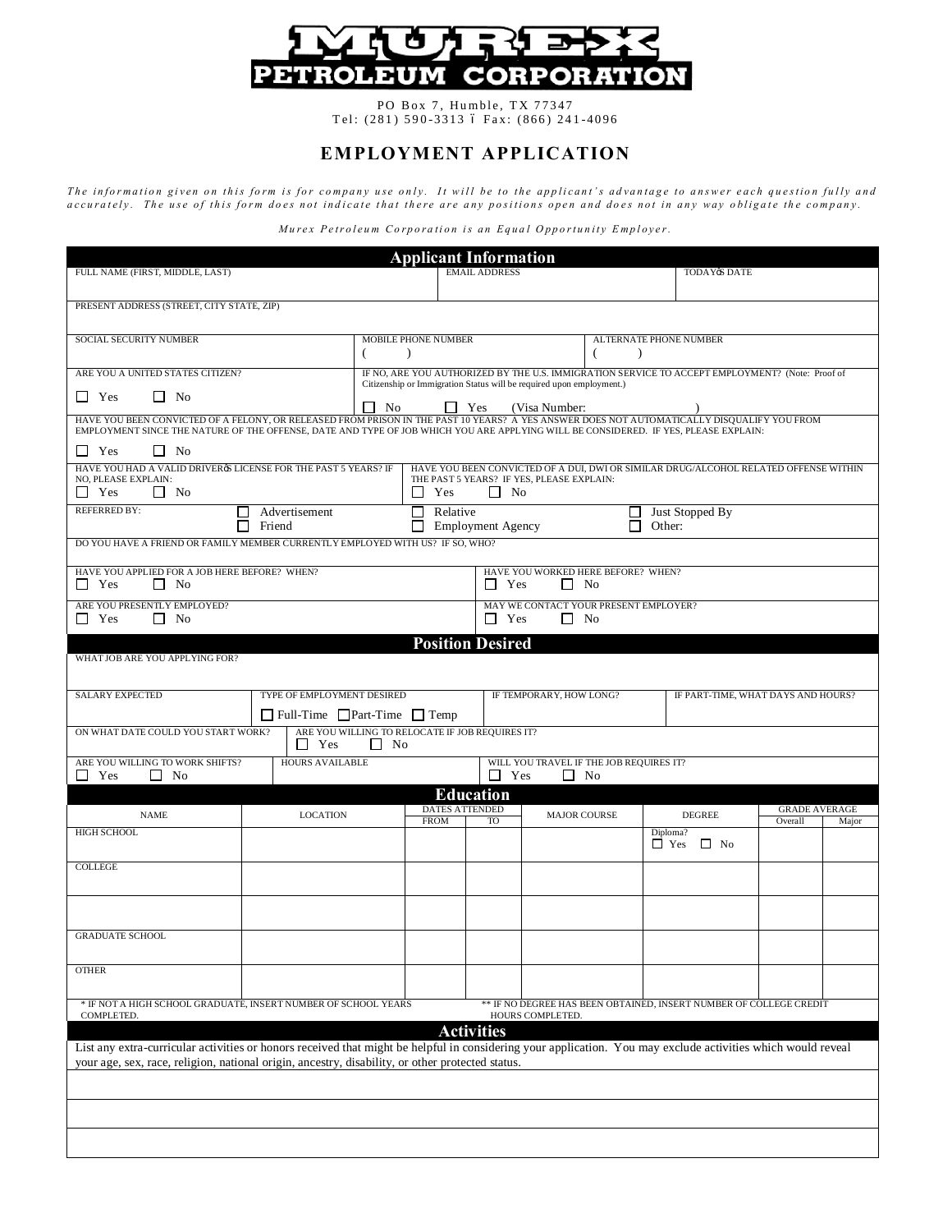

PO Box 7, Humble, TX 77347 Tel: (281) 590-3313 6 Fax: (866) 241-4096

# **EMPLOYMENT APPLICATION**

The information given on this form is for company use only. It will be to the applicant's advantage to answer each question fully and accurately. The use of this form does not indicate that there are any positions open and does not in any way obligate the company.

*Murex Petroleum Corporation is an Equal Opportunity Employer.* 

| <b>Applicant Information</b>                                                                                                                                                                                                                                                      |                                               |                                                                      |                            |                          |                                                      |           |                                                                                                 |                      |       |
|-----------------------------------------------------------------------------------------------------------------------------------------------------------------------------------------------------------------------------------------------------------------------------------|-----------------------------------------------|----------------------------------------------------------------------|----------------------------|--------------------------|------------------------------------------------------|-----------|-------------------------------------------------------------------------------------------------|----------------------|-------|
| FULL NAME (FIRST, MIDDLE, LAST)                                                                                                                                                                                                                                                   |                                               |                                                                      |                            |                          |                                                      |           | TODAY& DATE                                                                                     |                      |       |
|                                                                                                                                                                                                                                                                                   |                                               |                                                                      |                            |                          |                                                      |           |                                                                                                 |                      |       |
| PRESENT ADDRESS (STREET, CITY STATE, ZIP)                                                                                                                                                                                                                                         |                                               |                                                                      |                            |                          |                                                      |           |                                                                                                 |                      |       |
| SOCIAL SECURITY NUMBER                                                                                                                                                                                                                                                            |                                               |                                                                      | <b>MOBILE PHONE NUMBER</b> |                          |                                                      |           | ALTERNATE PHONE NUMBER                                                                          |                      |       |
| ARE YOU A UNITED STATES CITIZEN?                                                                                                                                                                                                                                                  |                                               | (<br>$\lambda$                                                       |                            |                          |                                                      | $\lambda$ | IF NO, ARE YOU AUTHORIZED BY THE U.S. IMMIGRATION SERVICE TO ACCEPT EMPLOYMENT? (Note: Proof of |                      |       |
|                                                                                                                                                                                                                                                                                   |                                               | Citizenship or Immigration Status will be required upon employment.) |                            |                          |                                                      |           |                                                                                                 |                      |       |
| $\Box$ Yes<br>$\Box$ No                                                                                                                                                                                                                                                           |                                               | No                                                                   | $\Box$ Yes                 |                          | (Visa Number:                                        |           |                                                                                                 |                      |       |
| HAVE YOU BEEN CONVICTED OF A FELONY, OR RELEASED FROM PRISON IN THE PAST 10 YEARS? A YES ANSWER DOES NOT AUTOMATICALLY DISQUALIFY YOU FROM<br>EMPLOYMENT SINCE THE NATURE OF THE OFFENSE, DATE AND TYPE OF JOB WHICH YOU ARE APPLYING WILL BE CONSIDERED. IF YES, PLEASE EXPLAIN: |                                               |                                                                      |                            |                          |                                                      |           |                                                                                                 |                      |       |
| $\Box$ Yes<br>l I No                                                                                                                                                                                                                                                              |                                               |                                                                      |                            |                          |                                                      |           |                                                                                                 |                      |       |
| HAVE YOU HAD A VALID DRIVER & LICENSE FOR THE PAST 5 YEARS? IF<br>NO, PLEASE EXPLAIN:                                                                                                                                                                                             |                                               |                                                                      |                            |                          | THE PAST 5 YEARS? IF YES, PLEASE EXPLAIN:            |           | HAVE YOU BEEN CONVICTED OF A DUI, DWI OR SIMILAR DRUG/ALCOHOL RELATED OFFENSE WITHIN            |                      |       |
| $\Box$ Yes<br>$\Box$ No                                                                                                                                                                                                                                                           |                                               |                                                                      | $\Box$ Yes                 | $\Box$ No                |                                                      |           |                                                                                                 |                      |       |
| <b>REFERRED BY:</b>                                                                                                                                                                                                                                                               | Advertisement                                 | 口                                                                    | Relative                   |                          |                                                      |           | Just Stopped By                                                                                 |                      |       |
| DO YOU HAVE A FRIEND OR FAMILY MEMBER CURRENTLY EMPLOYED WITH US? IF SO, WHO?                                                                                                                                                                                                     | Friend                                        | ப                                                                    |                            | <b>Employment Agency</b> |                                                      |           | Other:                                                                                          |                      |       |
|                                                                                                                                                                                                                                                                                   |                                               |                                                                      |                            |                          |                                                      |           |                                                                                                 |                      |       |
| HAVE YOU APPLIED FOR A JOB HERE BEFORE? WHEN?<br>$\Box$ Yes<br>$\Box$ No                                                                                                                                                                                                          |                                               |                                                                      |                            | $\Box$ Yes               | HAVE YOU WORKED HERE BEFORE? WHEN?<br>l I No         |           |                                                                                                 |                      |       |
| ARE YOU PRESENTLY EMPLOYED?                                                                                                                                                                                                                                                       |                                               |                                                                      |                            |                          | MAY WE CONTACT YOUR PRESENT EMPLOYER?                |           |                                                                                                 |                      |       |
| $\Box$ Yes<br>$\Box$ No                                                                                                                                                                                                                                                           |                                               |                                                                      |                            | $\Box$ Yes               | l I No                                               |           |                                                                                                 |                      |       |
| WHAT JOB ARE YOU APPLYING FOR?                                                                                                                                                                                                                                                    |                                               |                                                                      |                            | <b>Position Desired</b>  |                                                      |           |                                                                                                 |                      |       |
|                                                                                                                                                                                                                                                                                   |                                               |                                                                      |                            |                          |                                                      |           |                                                                                                 |                      |       |
| <b>SALARY EXPECTED</b>                                                                                                                                                                                                                                                            | TYPE OF EMPLOYMENT DESIRED                    |                                                                      |                            |                          | IF TEMPORARY, HOW LONG?                              |           | IF PART-TIME, WHAT DAYS AND HOURS?                                                              |                      |       |
|                                                                                                                                                                                                                                                                                   | $\Box$ Full-Time $\Box$ Part-Time $\Box$ Temp |                                                                      |                            |                          |                                                      |           |                                                                                                 |                      |       |
| ON WHAT DATE COULD YOU START WORK?                                                                                                                                                                                                                                                | $\Box$ Yes                                    | ARE YOU WILLING TO RELOCATE IF JOB REQUIRES IT?<br>$\Box$ No         |                            |                          |                                                      |           |                                                                                                 |                      |       |
| ARE YOU WILLING TO WORK SHIFTS?<br>$\Box$ Yes<br>$\Box$ No                                                                                                                                                                                                                        | <b>HOURS AVAILABLE</b>                        |                                                                      |                            | $\Box$ Yes               | WILL YOU TRAVEL IF THE JOB REQUIRES IT?<br>$\Box$ No |           |                                                                                                 |                      |       |
|                                                                                                                                                                                                                                                                                   |                                               |                                                                      | <b>Education</b>           |                          |                                                      |           |                                                                                                 |                      |       |
| <b>NAME</b>                                                                                                                                                                                                                                                                       | <b>LOCATION</b>                               |                                                                      | <b>DATES ATTENDED</b>      |                          | <b>MAJOR COURSE</b>                                  |           | <b>DEGREE</b>                                                                                   | <b>GRADE AVERAGE</b> |       |
| <b>HIGH SCHOOL</b>                                                                                                                                                                                                                                                                |                                               |                                                                      | <b>FROM</b>                | TO                       |                                                      |           | Diploma?                                                                                        | Overall              | Major |
|                                                                                                                                                                                                                                                                                   |                                               |                                                                      |                            |                          |                                                      |           | $\Box$ Yes<br>$\Box$ No                                                                         |                      |       |
| <b>COLLEGE</b>                                                                                                                                                                                                                                                                    |                                               |                                                                      |                            |                          |                                                      |           |                                                                                                 |                      |       |
|                                                                                                                                                                                                                                                                                   |                                               |                                                                      |                            |                          |                                                      |           |                                                                                                 |                      |       |
|                                                                                                                                                                                                                                                                                   |                                               |                                                                      |                            |                          |                                                      |           |                                                                                                 |                      |       |
| <b>GRADUATE SCHOOL</b>                                                                                                                                                                                                                                                            |                                               |                                                                      |                            |                          |                                                      |           |                                                                                                 |                      |       |
| <b>OTHER</b>                                                                                                                                                                                                                                                                      |                                               |                                                                      |                            |                          |                                                      |           |                                                                                                 |                      |       |
|                                                                                                                                                                                                                                                                                   |                                               |                                                                      |                            |                          |                                                      |           |                                                                                                 |                      |       |
| * IF NOT A HIGH SCHOOL GRADUATE, INSERT NUMBER OF SCHOOL YEARS<br>** IF NO DEGREE HAS BEEN OBTAINED, INSERT NUMBER OF COLLEGE CREDIT<br>COMPLETED.<br>HOURS COMPLETED.                                                                                                            |                                               |                                                                      |                            |                          |                                                      |           |                                                                                                 |                      |       |
| <b>Activities</b>                                                                                                                                                                                                                                                                 |                                               |                                                                      |                            |                          |                                                      |           |                                                                                                 |                      |       |
| List any extra-curricular activities or honors received that might be helpful in considering your application. You may exclude activities which would reveal<br>your age, sex, race, religion, national origin, ancestry, disability, or other protected status.                  |                                               |                                                                      |                            |                          |                                                      |           |                                                                                                 |                      |       |
|                                                                                                                                                                                                                                                                                   |                                               |                                                                      |                            |                          |                                                      |           |                                                                                                 |                      |       |
|                                                                                                                                                                                                                                                                                   |                                               |                                                                      |                            |                          |                                                      |           |                                                                                                 |                      |       |
|                                                                                                                                                                                                                                                                                   |                                               |                                                                      |                            |                          |                                                      |           |                                                                                                 |                      |       |
|                                                                                                                                                                                                                                                                                   |                                               |                                                                      |                            |                          |                                                      |           |                                                                                                 |                      |       |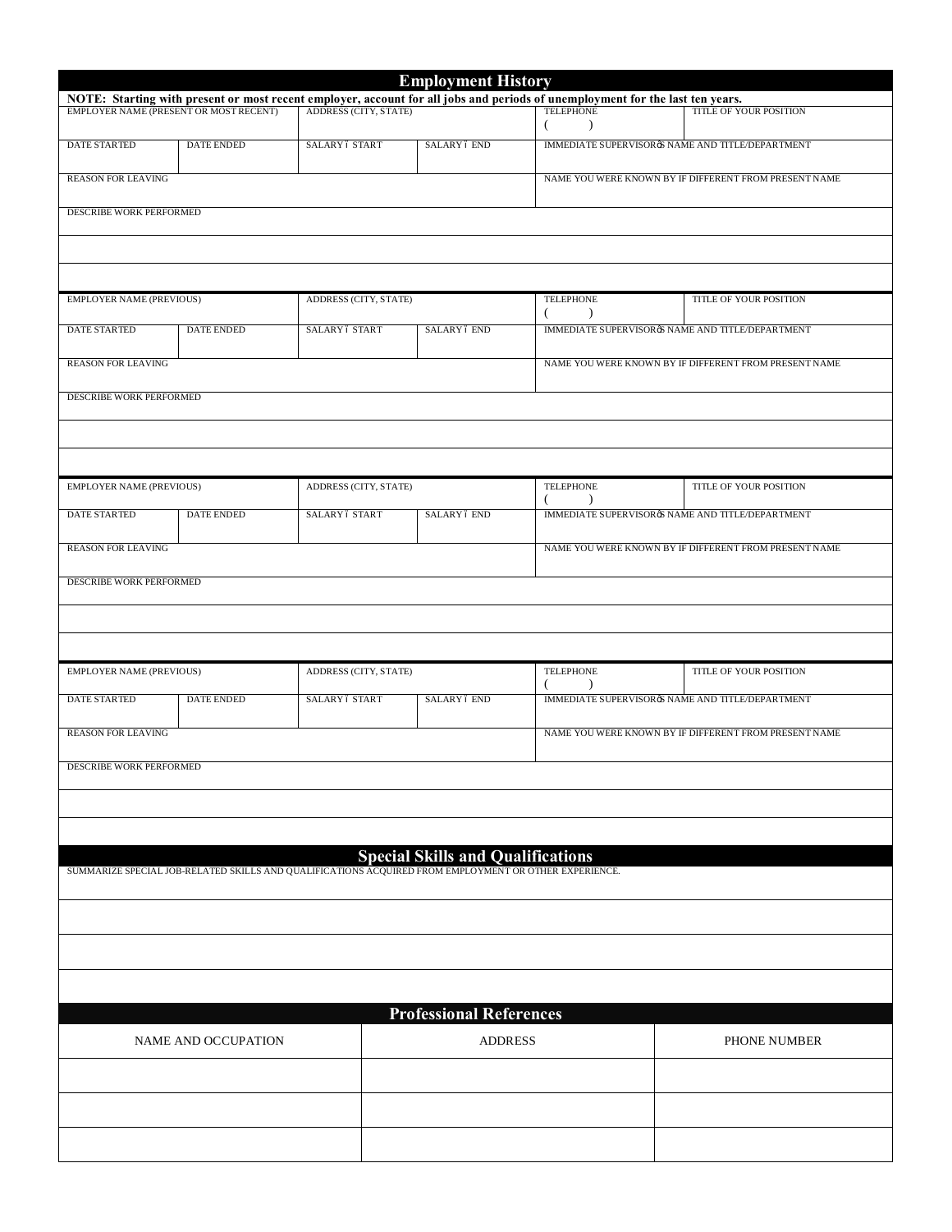| <b>Employment History</b>                                                                             |                   |                       |                                          |                                                                                                                               |                                                  |  |  |
|-------------------------------------------------------------------------------------------------------|-------------------|-----------------------|------------------------------------------|-------------------------------------------------------------------------------------------------------------------------------|--------------------------------------------------|--|--|
|                                                                                                       |                   |                       |                                          | NOTE: Starting with present or most recent employer, account for all jobs and periods of unemployment for the last ten years. |                                                  |  |  |
| EMPLOYER NAME (PRESENT OR MOST RECENT)                                                                |                   | ADDRESS (CITY, STATE) |                                          | <b>TELEPHONE</b><br>(<br>$\lambda$                                                                                            | TITLE OF YOUR POSITION                           |  |  |
| DATE STARTED                                                                                          | DATE ENDED        | SALARY 6 START        | <b>SALARY 6 END</b>                      |                                                                                                                               | IMMEDIATE SUPERVISOR & NAME AND TITLE/DEPARTMENT |  |  |
| <b>REASON FOR LEAVING</b>                                                                             |                   |                       |                                          | NAME YOU WERE KNOWN BY IF DIFFERENT FROM PRESENT NAME                                                                         |                                                  |  |  |
| DESCRIBE WORK PERFORMED                                                                               |                   |                       |                                          |                                                                                                                               |                                                  |  |  |
|                                                                                                       |                   |                       |                                          |                                                                                                                               |                                                  |  |  |
|                                                                                                       |                   |                       |                                          |                                                                                                                               |                                                  |  |  |
| <b>EMPLOYER NAME (PREVIOUS)</b>                                                                       |                   | ADDRESS (CITY, STATE) |                                          | <b>TELEPHONE</b><br>(<br>$\lambda$                                                                                            | TITLE OF YOUR POSITION                           |  |  |
| DATE STARTED                                                                                          | DATE ENDED        | SALARY 6 START        | <b>SALARY 6 END</b>                      |                                                                                                                               | IMMEDIATE SUPERVISOR & NAME AND TITLE/DEPARTMENT |  |  |
| <b>REASON FOR LEAVING</b>                                                                             |                   |                       |                                          | NAME YOU WERE KNOWN BY IF DIFFERENT FROM PRESENT NAME                                                                         |                                                  |  |  |
| DESCRIBE WORK PERFORMED                                                                               |                   |                       |                                          |                                                                                                                               |                                                  |  |  |
|                                                                                                       |                   |                       |                                          |                                                                                                                               |                                                  |  |  |
|                                                                                                       |                   |                       |                                          |                                                                                                                               |                                                  |  |  |
| <b>EMPLOYER NAME (PREVIOUS)</b>                                                                       |                   | ADDRESS (CITY, STATE) |                                          | <b>TELEPHONE</b>                                                                                                              | TITLE OF YOUR POSITION                           |  |  |
| <b>DATE STARTED</b>                                                                                   | DATE ENDED        | SALARY 6 START        | <b>SALARY 6 END</b>                      |                                                                                                                               | IMMEDIATE SUPERVISOR S NAME AND TITLE/DEPARTMENT |  |  |
| <b>REASON FOR LEAVING</b>                                                                             |                   |                       |                                          | NAME YOU WERE KNOWN BY IF DIFFERENT FROM PRESENT NAME                                                                         |                                                  |  |  |
| DESCRIBE WORK PERFORMED                                                                               |                   |                       |                                          |                                                                                                                               |                                                  |  |  |
|                                                                                                       |                   |                       |                                          |                                                                                                                               |                                                  |  |  |
|                                                                                                       |                   |                       |                                          |                                                                                                                               |                                                  |  |  |
| EMPLOYER NAME (PREVIOUS)                                                                              |                   | ADDRESS (CITY, STATE) |                                          | <b>TELEPHONE</b>                                                                                                              | TITLE OF YOUR POSITION                           |  |  |
| <b>DATE STARTED</b>                                                                                   | <b>DATE ENDED</b> | SALARY 6 START        | <b>SALARY 6 END</b>                      |                                                                                                                               | IMMEDIATE SUPERVISOR & NAME AND TITLE/DEPARTMENT |  |  |
| <b>REASON FOR LEAVING</b>                                                                             |                   |                       |                                          | NAME YOU WERE KNOWN BY IF DIFFERENT FROM PRESENT NAME                                                                         |                                                  |  |  |
| DESCRIBE WORK PERFORMED                                                                               |                   |                       |                                          |                                                                                                                               |                                                  |  |  |
|                                                                                                       |                   |                       |                                          |                                                                                                                               |                                                  |  |  |
|                                                                                                       |                   |                       |                                          |                                                                                                                               |                                                  |  |  |
|                                                                                                       |                   |                       | <b>Special Skills and Qualifications</b> |                                                                                                                               |                                                  |  |  |
| SUMMARIZE SPECIAL JOB-RELATED SKILLS AND QUALIFICATIONS ACQUIRED FROM EMPLOYMENT OR OTHER EXPERIENCE. |                   |                       |                                          |                                                                                                                               |                                                  |  |  |
|                                                                                                       |                   |                       |                                          |                                                                                                                               |                                                  |  |  |
|                                                                                                       |                   |                       |                                          |                                                                                                                               |                                                  |  |  |
|                                                                                                       |                   |                       |                                          |                                                                                                                               |                                                  |  |  |
| <b>Professional References</b>                                                                        |                   |                       |                                          |                                                                                                                               |                                                  |  |  |
| NAME AND OCCUPATION                                                                                   |                   |                       | <b>ADDRESS</b>                           | PHONE NUMBER                                                                                                                  |                                                  |  |  |
|                                                                                                       |                   |                       |                                          |                                                                                                                               |                                                  |  |  |
|                                                                                                       |                   |                       |                                          |                                                                                                                               |                                                  |  |  |
|                                                                                                       |                   |                       |                                          |                                                                                                                               |                                                  |  |  |
|                                                                                                       |                   |                       |                                          |                                                                                                                               |                                                  |  |  |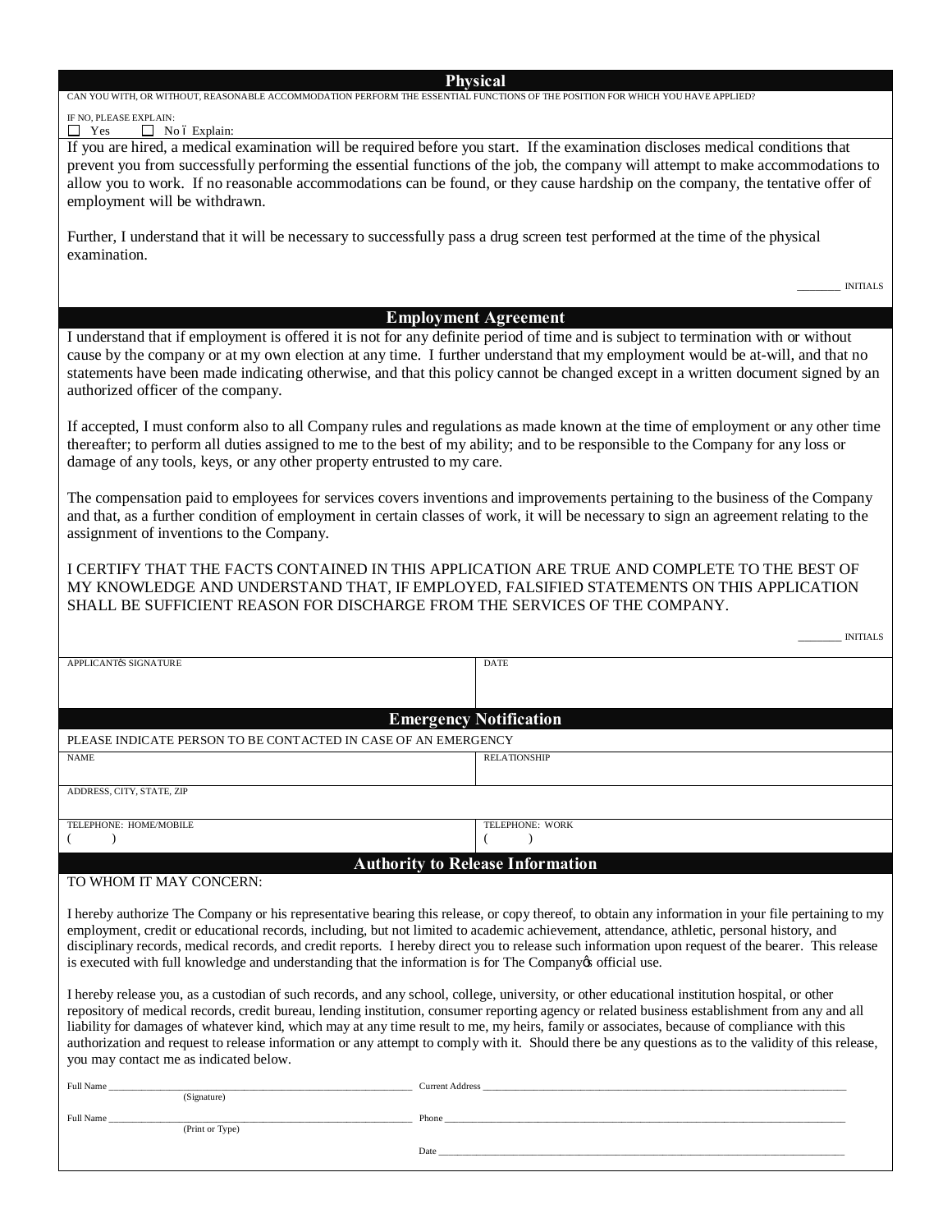### **Physical**

### CAN YOU WITH, OR WITHOUT, REASONABLE ACCOMMODATION PERFORM THE ESSENTIAL FUNCTIONS OF THE POSITION FOR WHICH YOU HAVE APPLIED?

#### IF NO, PLEASE EXPLAIN:  $\Box$  Yes  $\Box$  No 6 Explain:

If you are hired, a medical examination will be required before you start. If the examination discloses medical conditions that prevent you from successfully performing the essential functions of the job, the company will attempt to make accommodations to allow you to work. If no reasonable accommodations can be found, or they cause hardship on the company, the tentative offer of employment will be withdrawn.

Further, I understand that it will be necessary to successfully pass a drug screen test performed at the time of the physical examination.

\_\_\_\_\_\_\_ INITIALS

\_\_\_\_\_\_\_ INITIALS

## **Employment Agreement**

I understand that if employment is offered it is not for any definite period of time and is subject to termination with or without cause by the company or at my own election at any time. I further understand that my employment would be at-will, and that no statements have been made indicating otherwise, and that this policy cannot be changed except in a written document signed by an authorized officer of the company.

If accepted, I must conform also to all Company rules and regulations as made known at the time of employment or any other time thereafter; to perform all duties assigned to me to the best of my ability; and to be responsible to the Company for any loss or damage of any tools, keys, or any other property entrusted to my care.

The compensation paid to employees for services covers inventions and improvements pertaining to the business of the Company and that, as a further condition of employment in certain classes of work, it will be necessary to sign an agreement relating to the assignment of inventions to the Company.

I CERTIFY THAT THE FACTS CONTAINED IN THIS APPLICATION ARE TRUE AND COMPLETE TO THE BEST OF MY KNOWLEDGE AND UNDERSTAND THAT, IF EMPLOYED, FALSIFIED STATEMENTS ON THIS APPLICATION SHALL BE SUFFICIENT REASON FOR DISCHARGE FROM THE SERVICES OF THE COMPANY.

| APPLICANT&S SIGNATURE                                          | <b>DATE</b>         |  |  |  |  |
|----------------------------------------------------------------|---------------------|--|--|--|--|
|                                                                |                     |  |  |  |  |
|                                                                |                     |  |  |  |  |
|                                                                |                     |  |  |  |  |
| <b>Emergency Notification</b>                                  |                     |  |  |  |  |
| PLEASE INDICATE PERSON TO BE CONTACTED IN CASE OF AN EMERGENCY |                     |  |  |  |  |
| <b>NAME</b>                                                    | <b>RELATIONSHIP</b> |  |  |  |  |
|                                                                |                     |  |  |  |  |
|                                                                |                     |  |  |  |  |
| ADDRESS, CITY, STATE, ZIP                                      |                     |  |  |  |  |
|                                                                |                     |  |  |  |  |
| TELEPHONE: HOME/MOBILE                                         | TELEPHONE: WORK     |  |  |  |  |
|                                                                |                     |  |  |  |  |
|                                                                |                     |  |  |  |  |
| <b>Authority to Release Information</b>                        |                     |  |  |  |  |

## TO WHOM IT MAY CONCERN:

I hereby authorize The Company or his representative bearing this release, or copy thereof, to obtain any information in your file pertaining to my employment, credit or educational records, including, but not limited to academic achievement, attendance, athletic, personal history, and disciplinary records, medical records, and credit reports. I hereby direct you to release such information upon request of the bearer. This release is executed with full knowledge and understanding that the information is for The Company official use.

I hereby release you, as a custodian of such records, and any school, college, university, or other educational institution hospital, or other repository of medical records, credit bureau, lending institution, consumer reporting agency or related business establishment from any and all liability for damages of whatever kind, which may at any time result to me, my heirs, family or associates, because of compliance with this authorization and request to release information or any attempt to comply with it. Should there be any questions as to the validity of this release, you may contact me as indicated below.

| Full Name | (Signature)     | Current Address |
|-----------|-----------------|-----------------|
| Full Name | (Print or Type) | Phone           |
|           |                 | Date            |